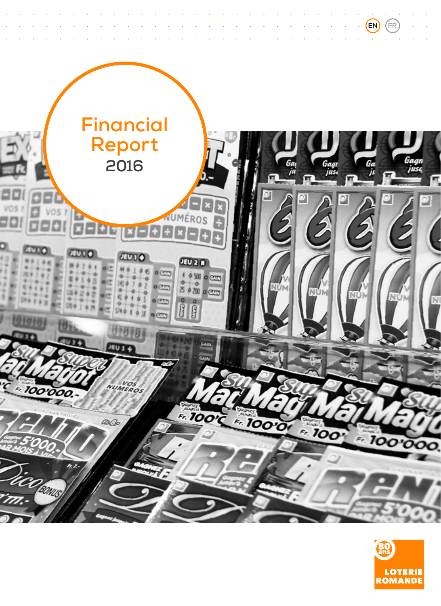

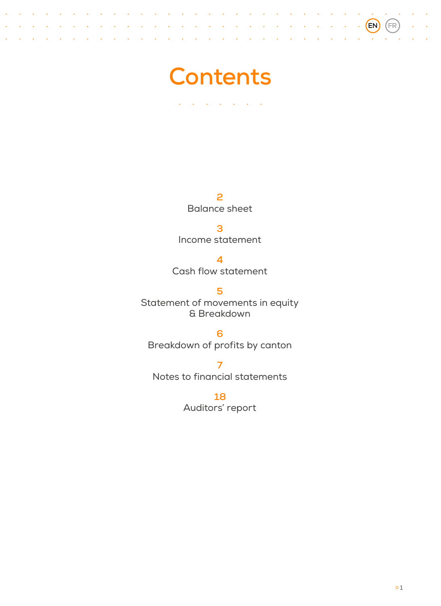

 $\sim$  $\sim$  100  $\mu$ 

 $\sim$  $\overline{\phantom{a}}$ L.  $\sim$  $\ddot{\phantom{a}}$  $\mathbb{R}^2$  $\mathbf{r}$ 

 $\mathcal{L}$  $\ddot{\phantom{0}}$ l.

> **[2](#page-3-0)** Balance sheet

**[3](#page-4-0)** Income statement

**[4](#page-5-0)** Cash flow statement

**[5](#page-6-0)** Statement of movements in equity & Breakdown

**[6](#page-7-0)** Breakdown of profits by canton

**[7](#page-8-0)** Notes to financial statements

> **[18](#page-19-0)** Auditors' report

**EN FR**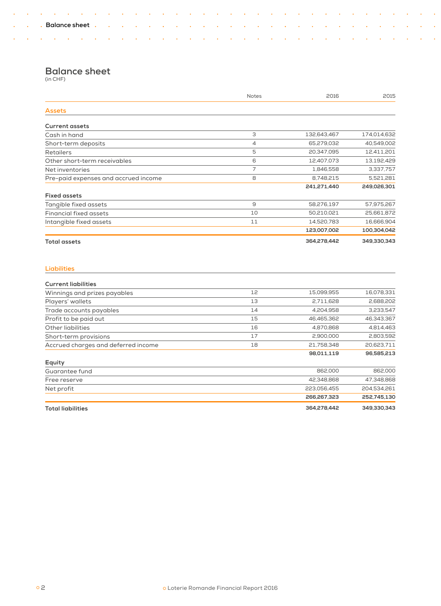$\sim$   $\sim$ 

÷. J.

 $\bar{\mathcal{A}}$  $\sim$ l,  $\hat{\mathcal{A}}$  $\sim$   $\sim$  $\sim 10$  $\sim 10$  $\sim 10$  $\sim 10$ 

÷.

 $\sim 10^{-10}$  k  $^{-1}$ 

l. ÷.  $\bar{z}$  $\hat{\mathcal{A}}$  $\hat{\textbf{z}}$  $\bar{z}$  $\hat{\mathcal{A}}$  $\hat{\mathbf{r}}$ l. l.  $\mathbb{Z}$  $\hat{\phantom{a}}$  $\ddot{\phantom{0}}$ l. l. l.  $\hat{\mathcal{A}}$  $\ddot{\phantom{1}}$ l. ò,

 $\sim$   $\sim$ 

 $\mathcal{L}(\mathcal{A})$  and  $\mathcal{L}(\mathcal{A})$  . In the  $\mathcal{L}(\mathcal{A})$ 

 $\mathcal{L}(\mathcal{A})$  and  $\mathcal{A}(\mathcal{A})$  and

 $\hat{\mathcal{A}}$  $\sim$   $\sim$  $\sim$   $\sim$ 

 $\sim$   $\sim$ 

 $\sim 10^{-10}$  km  $^{-1}$ 

 $\mathcal{L}$  $\sim 10$  $\sim$   $\sim$  $\sim 10$ 

 $\sim$   $\sim$ 

 $\sim 100$  $\sim 10$  $\sim$  4  $\sim$   $\sim$ 

> $\hat{\mathcal{A}}$  $\sim$  $\sim$   $\sim$  $\sim$   $\alpha$  $\sim$   $\sim$

 $\hat{\phantom{a}}$  $\mathcal{A}$  $\sim$  4 ÷, ÷,

 $\sim 10^{-10}$  km  $^{-1}$ 

 $\bar{a}$ 

 $\sim$   $\sim$ 

# **Balance sheet**

 $\mathcal{L}(\mathcal{A})$  . The contribution of the  $\mathcal{L}(\mathcal{A})$ 

(in CHF)

<span id="page-3-0"></span> $\mathcal{L}$ 

l.  $\hat{\textbf{z}}$ 

 $\ddot{\phantom{1}}$  $\sim$   $\sim$  $\sim 10$ 

|                                      | <b>Notes</b> | 2016        | 2015        |
|--------------------------------------|--------------|-------------|-------------|
| <b>Assets</b>                        |              |             |             |
| <b>Current assets</b>                |              |             |             |
| Cash in hand                         | З            | 132,643,467 | 174,014,632 |
| Short-term deposits                  | 4            | 65,279,032  | 40,549,002  |
| <b>Retailers</b>                     | 5            | 20,347,095  | 12,411,201  |
| Other short-term receivables         | 6            | 12,407,073  | 13,192,429  |
| Net inventories                      | 7            | 1,846,558   | 3,337,757   |
| Pre-paid expenses and accrued income | 8            | 8,748,215   | 5,521,281   |
|                                      |              | 241,271,440 | 249,026,301 |
| <b>Fixed assets</b>                  |              |             |             |
| Tangible fixed assets                | 9            | 58,276,197  | 57,975,267  |
| <b>Financial fixed assets</b>        | 10           | 50,210,021  | 25,661,872  |
| Intangible fixed assets              | 11           | 14,520,783  | 16,666,904  |
|                                      |              | 123,007,002 | 100,304,042 |
| <b>Total assets</b>                  |              | 364,278,442 | 349,330,343 |
| <b>Liabilities</b>                   |              |             |             |
| <b>Current liabilities</b>           |              |             |             |
| Winnings and prizes payables         | 12           | 15,099,955  | 16,078,331  |
| Players' wallets                     | 13           | 2,711,628   | 2,688,202   |
| Trade accounts payables              | 14           | 4,204,958   | 3,233,547   |
| Profit to be paid out                | 15           | 46,465,362  | 46,343,367  |
| <b>Other liabilities</b>             | 16           | 4,870,868   | 4,814,463   |
| Short-term provisions                | 17           | 2,900,000   | 2,803,592   |
| Accrued charges and deferred income  | 18           | 21,758,348  | 20,623,711  |
| Equity                               |              | 98,011,119  | 96,585,213  |
| Guarantee fund                       |              | 862,000     | 862,000     |
| Free reserve                         |              | 42,348,868  | 47,348,868  |
| Net profit                           |              | 223,056,455 | 204,534,261 |
|                                      |              | 266,267,323 | 252,745,130 |
| <b>Total liabilities</b>             |              | 364,278,442 | 349,330,343 |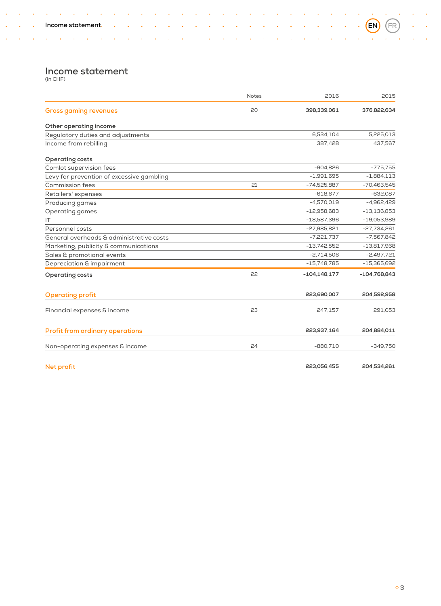# **Income statement** (in CHF)

 $\mathcal{A}$  $\sim$   $\sim$  $\sim 10$ 

 $\bar{\mathcal{A}}$  $\sim$  ÷,  $\ddot{\phantom{a}}$  $\mathcal{A}$  $\ddot{\phantom{a}}$  $\sim$  $\sim$   $\sim$  $\bar{\mathcal{A}}$  $\mathcal{A}$  $\ddot{\phantom{a}}$ i, ÷, t,  $\ddot{\phantom{a}}$ ÷. l,

J, l, l,  $\ddot{\phantom{0}}$ ÷,

÷.

 $\mathcal{L}(\mathcal{A})$  and  $\mathcal{A}(\mathcal{A})$  and

 $\sim$   $\sim$ 

 $\mathcal{L}$ 

÷,

<span id="page-4-0"></span> $\hat{\phantom{a}}$ ÷,  $\hat{\mathbf{z}}$ 

l.

 $\ddot{\phantom{0}}$ 

÷.  $\ddot{\phantom{1}}$ 

|                                           | <b>Notes</b> | 2016             | 2015           |  |
|-------------------------------------------|--------------|------------------|----------------|--|
| <b>Gross gaming revenues</b>              | 20           | 398,339,061      | 376,822,634    |  |
| Other operating income                    |              |                  |                |  |
| Regulatory duties and adjustments         |              | 6,534,104        | 5,225,013      |  |
| Income from rebilling                     |              | 387,428          | 437,567        |  |
| <b>Operating costs</b>                    |              |                  |                |  |
| Comlot supervision fees                   |              | $-904,826$       | $-775,755$     |  |
| Levy for prevention of excessive gambling |              | $-1,991,695$     | $-1,884,113$   |  |
| Commission fees                           | 21           | $-74,525,887$    | $-70,463,545$  |  |
| Retailers' expenses                       |              | $-618,677$       | $-632,087$     |  |
| Producing games                           |              | $-4,570,019$     | $-4,962,429$   |  |
| Operating games                           |              | $-12,958,683$    | $-13,136,853$  |  |
| IT                                        |              | $-18,587,396$    | $-19,053,989$  |  |
| Personnel costs                           |              | $-27,985,821$    | $-27,734,261$  |  |
| General overheads & administrative costs  |              | $-7,221,737$     | $-7,567,842$   |  |
| Marketing, publicity & communications     |              | $-13,742,552$    | $-13,817,968$  |  |
| Sales & promotional events                |              | $-2,714,506$     | $-2,497,721$   |  |
| Depreciation & impairment                 |              | $-15,748,785$    | $-15,365,692$  |  |
| <b>Operating costs</b>                    | 55           | $-104, 148, 177$ | $-104,768,843$ |  |
| <b>Operating profit</b>                   |              | 223,690,007      | 204,592,958    |  |
| Financial expenses & income               | 23           | 247,157          | 291,053        |  |
| <b>Profit from ordinary operations</b>    |              | 223,937,164      | 204,884,011    |  |
| Non-operating expenses & income           | 24           | $-880,710$       | $-349,750$     |  |
| Net profit                                |              | 223,056,455      | 204,534,261    |  |

l, l, l, l,

÷.  $\ddot{\phantom{a}}$ ÷,  $\hat{\mathbf{z}}$  $\mathcal{L}$  $\sim$ l.  $\bar{z}$ l. l,

l.

 $\ddot{\phantom{a}}$  $\mathcal{L}$  $\ddot{\phantom{0}}$  $\ddot{\phantom{1}}$ 

l, l,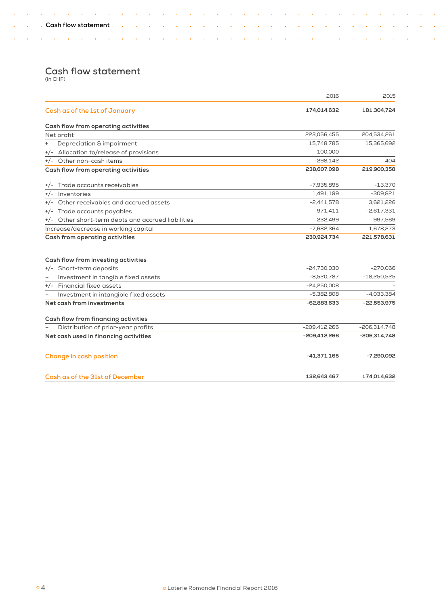$\mathcal{L}(\mathcal{A})$  and  $\mathcal{A}(\mathcal{A})$  and  $\mathcal{A}(\mathcal{A})$ 

# **Cash flow statement** (in CHF)

 $\sim$  $\sim 10$  $\mathcal{L}_{\mathbf{a}}$  $\sim$  4

> L. l. l. L.  $\bar{z}$  $\ddot{\phantom{1}}$ l.  $\bar{\phantom{a}}$  $\ddot{\phantom{1}}$ l. t, t, l. t, l. l. l.  $\hat{\mathcal{A}}$ ò, l. ò,

 $\ddot{\phantom{0}}$ l, l.  $\bar{\phantom{a}}$  $\sim 10$ 

 $\bar{z}$ 

 $\sim 10$  $\sim 10$ 

<span id="page-5-0"></span> $\ddot{\phantom{1}}$ 

l. t,

 $\ddot{\phantom{a}}$  $\sim$   $\sim$  $\sim 10$ 

|                                                    | 2016          | 2015           |
|----------------------------------------------------|---------------|----------------|
| Cash as of the 1st of January                      | 174,014,632   | 181,304,724    |
| Cash flow from operating activities                |               |                |
| Net profit                                         | 223,056,455   | 204,534,261    |
| Depreciation & impairment                          | 15,748,785    | 15,365,692     |
| +/- Allocation to/release of provisions            | 100,000       |                |
| +/- Other non-cash items                           | $-298,142$    | 404            |
| Cash flow from operating activities                | 238,607,098   | 219,900,358    |
| Trade accounts receivables<br>$+/-$                | $-7,935,895$  | $-13.370$      |
| Inventories<br>$+/-$                               | 1,491,199     | $-309,821$     |
| +/- Other receivables and accrued assets           | $-2,441,578$  | 3,621,226      |
| +/- Trade accounts payables                        | 971,411       | $-2,617,331$   |
| +/- Other short-term debts and accrued liabilities | 232,499       | 997,569        |
| Increase/decrease in working capital               | $-7,682,364$  | 1,678,273      |
| <b>Cash from operating activities</b>              | 230,924,734   | 221,578,631    |
| Cash flow from investing activities                |               |                |
| +/- Short-term deposits                            | $-24,730,030$ | $-270,066$     |
| Investment in tangible fixed assets                | $-8,520,787$  | $-18,250,525$  |
| +/- Financial fixed assets                         | $-24,250,008$ |                |
| Investment in intangible fixed assets              | $-5,382,808$  | $-4,033,384$   |
| Net cash from investments                          | -62,883,633   | $-22,553,975$  |
| Cash flow from financing activities                |               |                |
| Distribution of prior-year profits                 | -209.412.266  | $-206.314.748$ |
| Net cash used in financing activities              | -209,412,266  | $-206,314,748$ |
| Change in cash position                            | $-41,371,165$ | $-7,290,092$   |
| Cash as of the 31st of December                    | 132,643,467   | 174,014,632    |

 $\sim 10^{11}$  km s  $^{-1}$ 

 $\mathbb{Z}$  $\sim$   $\sim$  $\sim 10$ 

 $\sim$   $\sim$ 

 $\sim 10^{11}$  km s  $^{-1}$ 

 $\ddot{\phantom{a}}$  $\sim$   $\sim$ 

 $\sim$   $\sim$  $\sim$  4  $\sim 10$ 

> ÷,  $\mathbb{Z}^2$  $\sim$   $\sim$  $\sim$   $\sim$ l.  $\hat{\mathcal{A}}$  $\sim$  $\sim$   $\sim$  $\sim$   $\sim$  $\sim$   $\sim$

 $\sim 10$  $\sim$   $\sim$   $\sim$   $\sim$ 

 $\bar{\mathbf{a}}$  $\sim$  $\sim$  .  $\hat{\phantom{a}}$  $\mathcal{A}$  $\ddot{\phantom{a}}$  ÷.

l.

 $\sim$   $\sim$ 

 $\sim 10^{-10}$  km  $^{-1}$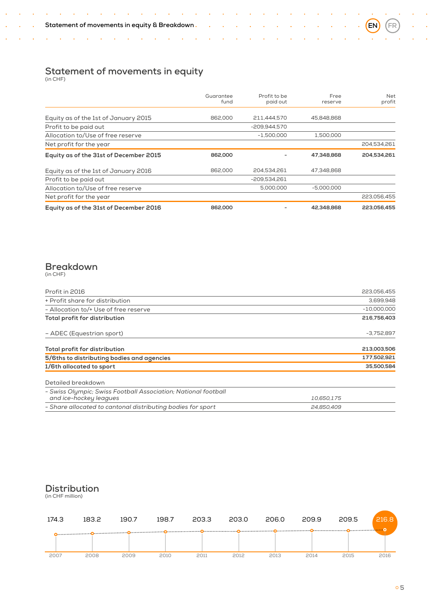$\mathcal{A}^{\mathcal{A}}$ 

÷, i,  $\sim 10$ 

 $\sim 10^{11}$  km  $^{-1}$ 

 $\hat{\mathcal{A}}$  $\sim$   $\mathcal{A}(\mathcal{A})$  and  $\mathcal{A}(\mathcal{A})$  and  $\mathcal{A}(\mathcal{A})$ 

 $\ddot{\phantom{0}}$ ÷, ÷. t,

 $\sim 10$  $\ddot{\phantom{a}}$  $\lambda$  J.

÷,  $\Delta$ 

 $\ddot{\phantom{1}}$ 

÷.

÷.  $\ddot{\phantom{a}}$ 

 $\ddot{\phantom{1}}$ 

<span id="page-6-0"></span>÷.  $\hat{\bullet}$  $\mathcal{A}$  $\sim 10$  $\sim$ 

|                                        | Guarantee<br>fund | Profit to be<br>paid out | Free<br>reserve | Net<br>profit |
|----------------------------------------|-------------------|--------------------------|-----------------|---------------|
|                                        |                   |                          |                 |               |
| Equity as of the 1st of January 2015   | 862,000           | 211.444.570              | 45.848.868      |               |
| Profit to be paid out                  |                   | -209.944.570             |                 |               |
| Allocation to/Use of free reserve      |                   | $-1.500.000$             | 1,500,000       |               |
| Net profit for the year                |                   |                          |                 | 204,534,261   |
| Equity as of the 31st of December 2015 | 862,000           |                          | 47.348.868      | 204.534.261   |
| Equity as of the 1st of January 2016   | 862,000           | 204.534.261              | 47.348.868      |               |
| Profit to be paid out                  |                   | $-209.534.261$           |                 |               |
| Allocation to/Use of free reserve      |                   | 5,000,000                | $-5.000.000$    |               |
| Net profit for the year                |                   |                          |                 | 223,056,455   |
| Equity as of the 31st of December 2016 | 862,000           |                          | 42.348.868      | 223,056,455   |

# **Breakdown** (in CHF)

| Profit in 2016                                                                           | 223,056,455   |  |  |
|------------------------------------------------------------------------------------------|---------------|--|--|
| + Profit share for distribution                                                          | 3,699,948     |  |  |
| - Allocation to/+ Use of free reserve                                                    | $-10,000,000$ |  |  |
| Total profit for distribution                                                            |               |  |  |
| - ADEC (Equestrian sport)                                                                | $-3,752,897$  |  |  |
| Total profit for distribution                                                            | 213,003,506   |  |  |
| 177,502,921<br>5/6ths to distributing bodies and agencies                                |               |  |  |
| 1/6th allocated to sport                                                                 | 35,500,584    |  |  |
| Detailed breakdown                                                                       |               |  |  |
| - Swiss Olympic: Swiss Football Association: National football<br>and ice-hockey leagues | 10,650,175    |  |  |
| - Share allocated to cantonal distributing bodies for sport                              | 24.850.409    |  |  |

# **Distribution**

(in CHF million)

| 174.3 | 183.2 | 190.7 | 198.7 | 203.3 | 203.0 | 206.0 | 209.9 | 209.5 | 216.8 |
|-------|-------|-------|-------|-------|-------|-------|-------|-------|-------|
|       |       |       |       |       |       |       |       |       |       |
| 2007  | 2008  | 2009  | 2010  | 2011  | 2012  | 2013  | 2014  | 2015  | 2016  |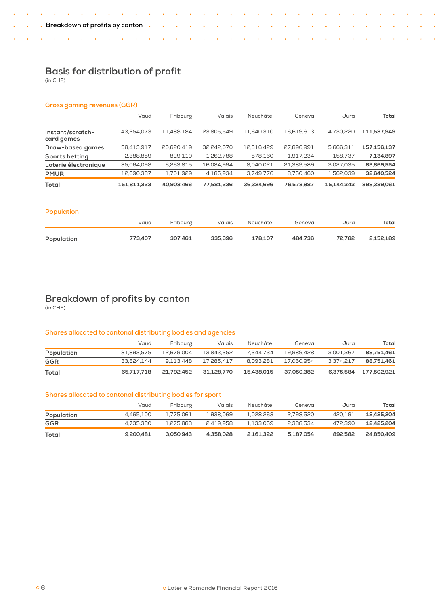$\sim 10$  $\mathcal{A}$ l,

# **Basis for distribution of profit**

(in CHF)

÷, ÷,

÷,

 $\ddot{\phantom{a}}$ 

<span id="page-7-0"></span>l, ÷.  $\ddot{\phantom{1}}$  $\mathcal{A}$  $\sim 10$  $\mathcal{A}$ 

# **Gross gaming revenues (GGR)**

|                                | Vaud        | Fribourg   | Valais     | Neuchâtel  | Geneva     | Jura       | Total       |
|--------------------------------|-------------|------------|------------|------------|------------|------------|-------------|
| Instant/scratch-<br>card games | 43.254.073  | 11.488.184 | 23.805.549 | 11.640.310 | 16.619.613 | 4.730.220  | 111.537.949 |
| Draw-based games               | 58,413,917  | 20,620,419 | 32.242.070 | 12.316.429 | 27.896.991 | 5,666,311  | 157,156,137 |
| Sports betting                 | 2,388,859   | 829,119    | 1,262,788  | 578.160    | 1.917.234  | 158.737    | 7,134,897   |
| Loterie électronique           | 35.064.098  | 6.263.815  | 16.084.994 | 8.040.021  | 21.389.589 | 3.027.035  | 89.869.554  |
| <b>PMUR</b>                    | 12.690.387  | 1.701.929  | 4.185.934  | 3.749.776  | 8.750.460  | 1.562.039  | 32.640.524  |
| Total                          | 151.811.333 | 40,903,466 | 77.581.336 | 36.324.696 | 76.573.887 | 15.144.343 | 398.339.061 |

i.

L.

÷.

# **Population**

|            | Vaud    | Fribourg | Valais  | Neuchâtel | Geneva  | Jura   | Total     |
|------------|---------|----------|---------|-----------|---------|--------|-----------|
| Population | 773,407 | 307.461  | 335,696 | 178.107   | 484.736 | 72.782 | 2,152,189 |

# **Breakdown of profits by canton**

(in CHF)

# **Shares allocated to cantonal distributing bodies and agencies**

|            | Vaud       | Fribourg   | Valais     | Neuchâtel  | Geneva     | Jura      | Total       |
|------------|------------|------------|------------|------------|------------|-----------|-------------|
| Population | 31.893.575 | 12.679.004 | 13.843.352 | 7.344.734  | 19.989.428 | 3.001.367 | 88.751.461  |
| GGR        | 33.824.144 | 9.113.448  | 17.285.417 | 8.093.281  | 17.060.954 | 3.374.217 | 88.751.461  |
| Total      | 65.717.718 | 21.792.452 | 31.128.770 | 15.438.015 | 37.050.382 | 6.375.584 | 177.502.921 |

# **Shares allocated to cantonal distributing bodies for sport**

|            | Vaud      | Fribourg  | Valais    | Neuchâtel | Geneva    | Jura    | Total      |
|------------|-----------|-----------|-----------|-----------|-----------|---------|------------|
| Population | 4.465.100 | 1.775.061 | 1.938.069 | 1.028.263 | 2.798.520 | 420.191 | 12.425.204 |
| GGR        | 4.735.380 | 1.275.883 | 2.419.958 | 1.133.059 | 2.388.534 | 472.390 | 12.425.204 |
| Total      | 9,200,481 | 3.050.943 | 4.358.028 | 2.161.322 | 5.187.054 | 892.582 | 24.850.409 |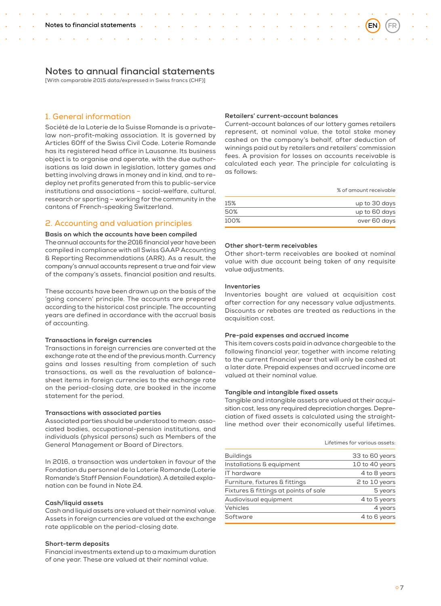# <span id="page-8-0"></span>**Notes to annual financial statements**

[With comparable 2015 data/expressed in Swiss francs (CHF)]

# 1. General information

Société de la Loterie de la Suisse Romande is a privatelaw non-profit-making association. It is governed by Articles 60ff of the Swiss Civil Code. Loterie Romande has its registered head office in Lausanne. Its business object is to organise and operate, with the due authorisations as laid down in legislation, lottery games and betting involving draws in money and in kind, and to redeploy net profits generated from this to public-service institutions and associations – social-welfare, cultural, research or sporting – working for the community in the cantons of French-speaking Switzerland.

# 2. Accounting and valuation principles

#### **Basis on which the accounts have been compiled**

The annual accounts for the 2016 financial year have been compiled in compliance with all Swiss GAAP Accounting & Reporting Recommendations (ARR). As a result, the company's annual accounts represent a true and fair view of the company's assets, financial position and results.

These accounts have been drawn up on the basis of the 'going concern' principle. The accounts are prepared according to the historical cost principle. The accounting years are defined in accordance with the accrual basis of accounting.

## **Transactions in foreign currencies**

Transactions in foreign currencies are converted at the exchange rate at the end of the previous month. Currency gains and losses resulting from completion of such transactions, as well as the revaluation of balancesheet items in foreign currencies to the exchange rate on the period-closing date, are booked in the income statement for the period.

#### **Transactions with associated parties**

Associated parties should be understood to mean: associated bodies, occupational-pension institutions, and individuals (physical persons) such as Members of the General Management or Board of Directors.

In 2016, a transaction was undertaken in favour of the Fondation du personnel de la Loterie Romande (Loterie Romande's Staff Pension Foundation). A detailed explanation can be found in Note 24.

#### **Cash/liquid assets**

Cash and liquid assets are valued at their nominal value. Assets in foreign currencies are valued at the exchange rate applicable on the period-closing date.

#### **Short-term deposits**

Financial investments extend up to a maximum duration of one year. These are valued at their nominal value.

# **Retailers' current-account balances**

Current-account balances of our lottery games retailers represent, at nominal value, the total stake money cashed on the company's behalf, after deduction of winnings paid out by retailers and retailers' commission fees. A provision for losses on accounts receivable is calculated each year. The principle for calculating is as follows:

| % of amount receivable |  |
|------------------------|--|
|------------------------|--|

| 15%  | up to 30 days |
|------|---------------|
| 50%  | up to 60 days |
| 100% | over 60 days  |

#### **Other short-term receivables**

Other short-term receivables are booked at nominal value with due account being taken of any requisite value adjustments.

#### **Inventories**

Inventories bought are valued at acquisition cost after correction for any necessary value adjustments. Discounts or rebates are treated as reductions in the acquisition cost.

#### **Pre-paid expenses and accrued income**

This item covers costs paid in advance chargeable to the following financial year, together with income relating to the current financial year that will only be cashed at a later date. Prepaid expenses and accrued income are valued at their nominal value.

#### **Tangible and intangible fixed assets**

Tangible and intangible assets are valued at their acquisition cost, less any required depreciation charges. Depreciation of fixed assets is calculated using the straightline method over their economically useful lifetimes.

#### Lifetimes for various assets:

| <b>Buildings</b>                      | 33 to 60 years |
|---------------------------------------|----------------|
| Installations & equipment             | 10 to 40 years |
| IT hardware                           | 4 to 8 years   |
| Furniture, fixtures & fittings        | 2 to 10 years  |
| Fixtures & fittings at points of sale | 5 years        |
| Audiovisual equipment                 | 4 to 5 years   |
| Vehicles                              | 4 years        |
| Software                              | 4 to 6 years   |
|                                       |                |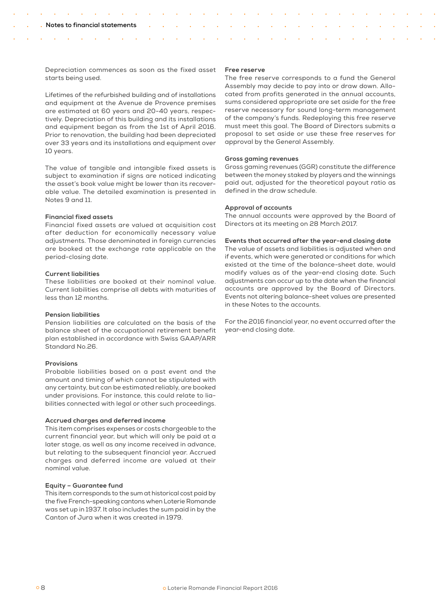Depreciation commences as soon as the fixed asset starts being used.

Lifetimes of the refurbished building and of installations and equipment at the Avenue de Provence premises are estimated at 60 years and 20-40 years, respectively. Depreciation of this building and its installations and equipment began as from the 1st of April 2016. Prior to renovation, the building had been depreciated over 33 years and its installations and equipment over 10 years.

The value of tangible and intangible fixed assets is subject to examination if signs are noticed indicating the asset's book value might be lower than its recoverable value. The detailed examination is presented in Notes 9 and 11.

#### **Financial fixed assets**

Financial fixed assets are valued at acquisition cost after deduction for economically necessary value adjustments. Those denominated in foreign currencies are booked at the exchange rate applicable on the period-closing date.

# **Current liabilities**

These liabilities are booked at their nominal value. Current liabilities comprise all debts with maturities of less than 12 months.

# **Pension liabilities**

Pension liabilities are calculated on the basis of the balance sheet of the occupational retirement benefit plan established in accordance with Swiss GAAP/ARR Standard No.26.

# **Provisions**

Probable liabilities based on a past event and the amount and timing of which cannot be stipulated with any certainty, but can be estimated reliably, are booked under provisions. For instance, this could relate to liabilities connected with legal or other such proceedings.

#### **Accrued charges and deferred income**

This item comprises expenses or costs chargeable to the current financial year, but which will only be paid at a later stage, as well as any income received in advance, but relating to the subsequent financial year. Accrued charges and deferred income are valued at their nominal value.

# **Equity – Guarantee fund**

This item corresponds to the sum at historical cost paid by the five French-speaking cantons when Loterie Romande was set up in 1937. It also includes the sum paid in by the Canton of Jura when it was created in 1979.

#### **Free reserve**

The free reserve corresponds to a fund the General Assembly may decide to pay into or draw down. Allocated from profits generated in the annual accounts, sums considered appropriate are set aside for the free reserve necessary for sound long-term management of the company's funds. Redeploying this free reserve must meet this goal. The Board of Directors submits a proposal to set aside or use these free reserves for approval by the General Assembly.

#### **Gross gaming revenues**

Gross gaming revenues (GGR) constitute the difference between the money staked by players and the winnings paid out, adjusted for the theoretical payout ratio as defined in the draw schedule.

#### **Approval of accounts**

The annual accounts were approved by the Board of Directors at its meeting on 28 March 2017.

## **Events that occurred after the year-end closing date**

The value of assets and liabilities is adjusted when and if events, which were generated or conditions for which existed at the time of the balance-sheet date, would modify values as of the year-end closing date. Such adjustments can occur up to the date when the financial accounts are approved by the Board of Directors. Events not altering balance-sheet values are presented in these Notes to the accounts.

For the 2016 financial year, no event occurred after the year-end closing date.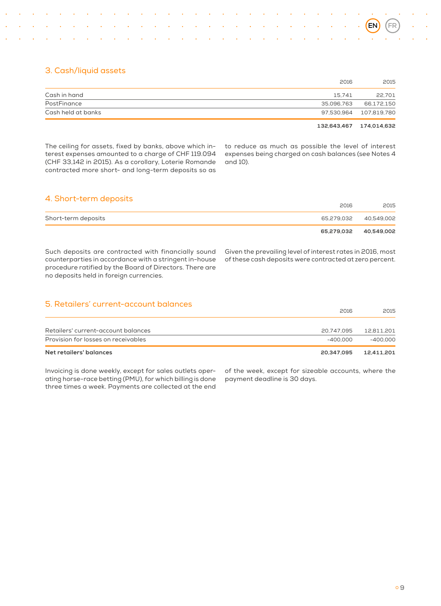# 3. Cash/liquid assets

|                    | 2016       | 2015                    |
|--------------------|------------|-------------------------|
| Cash in hand       | 15.741     | 22.701                  |
| PostFinance        | 35.096.763 | 66,172,150              |
| Cash held at banks |            | 97.530.964 107.819.780  |
|                    |            | 132.643.467 174.014.632 |

The ceiling for assets, fixed by banks, above which interest expenses amounted to a charge of CHF 119.094 (CHF 33,142 in 2015). As a corollary, Loterie Romande contracted more short- and long-term deposits so as

to reduce as much as possible the level of interest expenses being charged on cash balances (see Notes 4 and 10).

# 4. Short-term deposits

|                     | 65,279,032 40,549,002 |      |
|---------------------|-----------------------|------|
| Short-term deposits | 65,279,032 40,549,002 |      |
|                     | 2016                  | 2015 |

Such deposits are contracted with financially sound counterparties in accordance with a stringent in-house procedure ratified by the Board of Directors. There are no deposits held in foreign currencies.

Given the prevailing level of interest rates in 2016, most of these cash deposits were contracted at zero percent.

| Net retailers' balances                | 20.347.095 | 12.411.201 |
|----------------------------------------|------------|------------|
| Provision for losses on receivables    | $-400.000$ | $-400.000$ |
| Retailers' current-account balances    | 20.747.095 | 12.811.201 |
|                                        |            |            |
| 5. Retailers' current-account balances | 2016       | 2015       |

Invoicing is done weekly, except for sales outlets operating horse-race betting (PMU), for which billing is done three times a week. Payments are collected at the end

of the week, except for sizeable accounts, where the payment deadline is 30 days.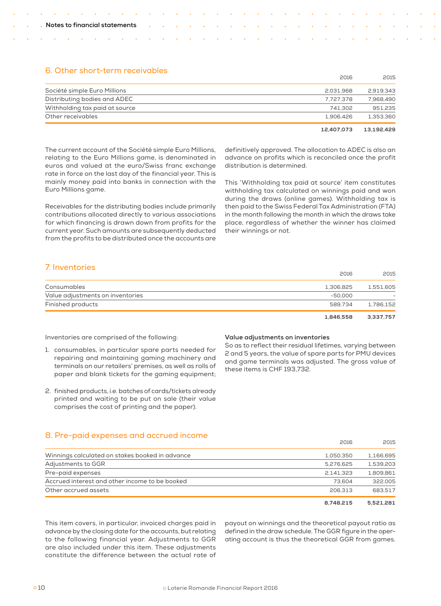# 6. Other short-term receivables

|                                | 12.407.073 | 13.192.429 |
|--------------------------------|------------|------------|
| Other receivables              | 1.906.426  | 1.353.360  |
| Withholding tax paid at source | 741.302    | 951.235    |
| Distributing bodies and ADEC   | 7.727.378  | 7.968.490  |
| Société simple Euro Millions   | 2.031.968  | 2.919.343  |
|                                | 2016       | 2015       |

definitively approved. The allocation to ADEC is also an advance on profits which is reconciled once the profit distribution is determined.

The current account of the Société simple Euro Millions, relating to the Euro Millions game, is denominated in euros and valued at the euro/Swiss franc exchange rate in force on the last day of the financial year. This is mainly money paid into banks in connection with the Euro Millions game.

Receivables for the distributing bodies include primarily contributions allocated directly to various associations for which financing is drawn down from profits for the current year. Such amounts are subsequently deducted from the profits to be distributed once the accounts are

This 'Withholding tax paid at source' item constitutes withholding tax calculated on winnings paid and won during the draws (online games). Withholding tax is then paid to the Swiss Federal Tax Administration (FTA) in the month following the month in which the draws take place, regardless of whether the winner has claimed their winnings or not.

# 7. Inventories

|                                  | 2016      | 2015      |
|----------------------------------|-----------|-----------|
| Consumables                      | 1.306.825 | 1.551.605 |
| Value adjustments on inventories | $-50.000$ |           |
| Finished products                | 589.734   | 1.786.152 |

 **1,846,558 3,337,757** 

Inventories are comprised of the following:

- 1. consumables, in particular spare parts needed for repairing and maintaining gaming machinery and terminals on our retailers' premises, as well as rolls of paper and blank tickets for the gaming equipment;
- 2. finished products, i.e. batches of cards/tickets already printed and waiting to be put on sale (their value comprises the cost of printing and the paper).

## **Value adjustments on inventories**

So as to reflect their residual lifetimes, varying between 2 and 5 years, the value of spare parts for PMU devices and game terminals was adjusted. The gross value of these items is CHF 193,732.

# 8. Pre-paid expenses and accrued income

| Winnings calculated on stakes booked in advance | 1.050.350 | 1.166.695 |
|-------------------------------------------------|-----------|-----------|
| Adjustments to GGR                              | 5.276.625 | 1.539.203 |
| Pre-paid expenses                               | 2.141.323 | 1,809.861 |
| Accrued interest and other income to be booked  | 73.604    | 322,005   |
| Other accrued assets                            | 206.313   | 683.517   |
|                                                 |           |           |

 **8,748,215 5,521,281** 

2016 2015

This item covers, in particular, invoiced charges paid in advance by the closing date for the accounts, but relating to the following financial year. Adjustments to GGR are also included under this item. These adjustments constitute the difference between the actual rate of payout on winnings and the theoretical payout ratio as defined in the draw schedule. The GGR figure in the operating account is thus the theoretical GGR from games.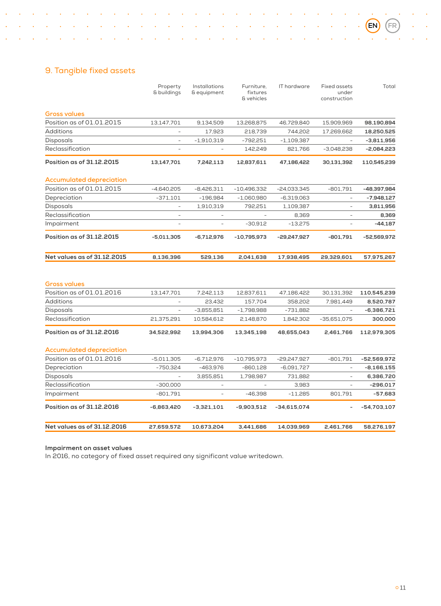L.

# 9. Tangible fixed assets

l.

|                                 | Property<br>& buildings | Installations<br>& equipment | Furniture.<br>fixtures<br>& vehicles | IT hardware   | <b>Fixed assets</b><br>under<br>construction | Total         |
|---------------------------------|-------------------------|------------------------------|--------------------------------------|---------------|----------------------------------------------|---------------|
| <b>Gross values</b>             |                         |                              |                                      |               |                                              |               |
| Position as of 01.01.2015       | 13,147,701              | 9,134,509                    | 13,268,875                           | 46,729,840    | 15,909,969                                   | 98,190,894    |
| <b>Additions</b>                |                         | 17,923                       | 218,739                              | 744,202       | 17,269,662                                   | 18,250,525    |
| <b>Disposals</b>                | ÷,                      | $-1,910,319$                 | $-792,251$                           | $-1,109,387$  |                                              | $-3,811,956$  |
| Reclassification                |                         |                              | 142,249                              | 821,766       | $-3,048,238$                                 | $-2,084,223$  |
| Position as of 31.12.2015       | 13,147,701              | 7,242,113                    | 12,837,611                           | 47,186,422    | 30,131,392                                   | 110,545,239   |
| <b>Accumulated depreciation</b> |                         |                              |                                      |               |                                              |               |
| Position as of 01.01.2015       | $-4,640,205$            | $-8,426,311$                 | $-10,496,332$                        | $-24,033,345$ | $-801,791$                                   | -48,397,984   |
| Depreciation                    | $-371,101$              | $-196,984$                   | $-1,060,980$                         | $-6,319,063$  | ÷                                            | -7,948,127    |
| <b>Disposals</b>                | ۰                       | 1,910,319                    | 792,251                              | 1,109,387     |                                              | 3,811,956     |
| Reclassification                |                         |                              |                                      | 8,369         |                                              | 8,369         |
| Impairment                      | ä,                      | $\overline{\phantom{a}}$     | $-30,912$                            | $-13,275$     | ÷,                                           | $-44,187$     |
| Position as of 31.12.2015       | $-5,011,305$            | $-6,712,976$                 | $-10,795,973$                        | -29,247,927   | $-801,791$                                   | -52,569,972   |
| Net values as of 31.12.2015     | 8,136,396               | 529,136                      | 2,041,638                            | 17,938,495    | 29,329,601                                   | 57,975,267    |
| <b>Gross values</b>             |                         |                              |                                      |               |                                              |               |
| Position as of 01.01.2016       | 13,147,701              | 7,242,113                    | 12,837,611                           | 47,186,422    | 30,131,392                                   | 110,545,239   |
| <b>Additions</b>                |                         | 23,432                       | 157,704                              | 358,202       | 7,981,449                                    | 8,520,787     |
| <b>Disposals</b>                |                         | $-3,855,851$                 | $-1,798,988$                         | $-731,882$    |                                              | -6,386,721    |
| Reclassification                | 21,375,291              | 10,584,612                   | 2,148,870                            | 1,842,302     | $-35,651,075$                                | 300,000       |
| Position as of 31.12.2016       | 34,522,992              | 13,994,306                   | 13,345,198                           | 48,655,043    | 2,461,766                                    | 112,979,305   |
| <b>Accumulated depreciation</b> |                         |                              |                                      |               |                                              |               |
| Position as of 01.01.2016       | $-5,011,305$            | $-6,712,976$                 | $-10,795,973$                        | -29,247,927   | $-801,791$                                   | $-52,569,972$ |
| Depreciation                    | $-750,324$              | -463,976                     | $-860,128$                           | $-6,091,727$  |                                              | $-8,166,155$  |
| <b>Disposals</b>                |                         | 3,855,851                    | 1,798,987                            | 731,882       | ÷,                                           | 6,386,720     |
| Reclassification                | $-300,000$              | ٠                            | $\bar{a}$                            | 3,983         | $\overline{a}$                               | $-296,017$    |
| Impairment                      | $-801,791$              | $\sim$                       | $-46,398$                            | $-11,285$     | 801,791                                      | $-57,683$     |
| Position as of 31.12.2016       | $-6,863,420$            | $-3,321,101$                 | $-9,903,512$                         | $-34,615,074$ |                                              | -54,703,107   |
| Net values as of 31.12.2016     | 27,659,572              | 10,673,204                   | 3,441,686                            | 14,039,969    | 2,461,766                                    | 58,276,197    |

 $\sim$   $\sim$ 

 $\sim$   $\sim$ 

 $\sim$ 

l,  $\sim$ ÷. l. l, l.  $\ddot{\phantom{a}}$  $\bar{\mathcal{A}}$  $\hat{\mathcal{A}}$ 

 $\ddot{\phantom{a}}$ l.

 $\ddot{\phantom{0}}$ l. l.  $\ddot{\phantom{1}}$  $\ddot{\phantom{a}}$  $\ddot{\phantom{1}}$ 

 $\ddot{\phantom{0}}$  $\ddot{\phantom{a}}$  $\sim$   $\sim 10^{-11}$  $\ddot{\phantom{0}}$ l.

l, l.  $\sim$ 

 $\ddot{\phantom{1}}$  $\ddot{\phantom{0}}$ 

l.

#### **Impairment on asset values**

In 2016, no category of fixed asset required any significant value writedown.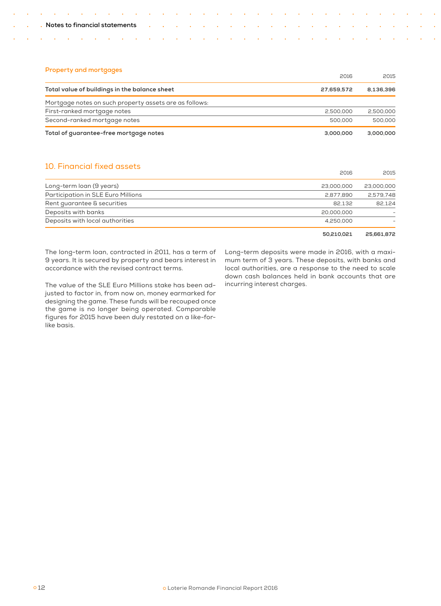# **Property and mortgages**

 $\ddot{\phantom{1}}$ 

|                                                        | 2016       | 2015      |
|--------------------------------------------------------|------------|-----------|
| Total value of buildings in the balance sheet          | 27.659.572 | 8.136.396 |
| Mortgage notes on such property assets are as follows: |            |           |
| First-ranked mortgage notes                            | 2,500,000  | 2,500,000 |
| Second-ranked mortgage notes                           | 500,000    | 500,000   |
| Total of guarantee-free mortgage notes                 | 3.000.000  | 3,000,000 |

10. Financial fixed assets

| to. I indirandi muda udadia        | 2016       | 2015       |
|------------------------------------|------------|------------|
| Long-term loan (9 years)           | 23,000,000 | 23,000,000 |
| Participation in SLE Euro Millions | 2,877,890  | 2.579.748  |
| Rent guarantee & securities        | 82.132     | 82.124     |
| Deposits with banks                | 20,000,000 |            |
| Deposits with local authorities    | 4.250.000  |            |
|                                    | 50.210.021 | 25.661.872 |

The long-term loan, contracted in 2011, has a term of 9 years. It is secured by property and bears interest in accordance with the revised contract terms.

The value of the SLE Euro Millions stake has been adjusted to factor in, from now on, money earmarked for designing the game. These funds will be recouped once the game is no longer being operated. Comparable figures for 2015 have been duly restated on a like-forlike basis.

Long-term deposits were made in 2016, with a maximum term of 3 years. These deposits, with banks and local authorities, are a response to the need to scale down cash balances held in bank accounts that are incurring interest charges.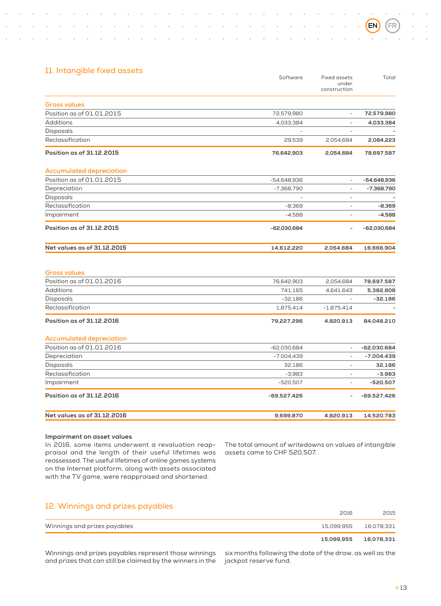|                                 | Software      | Fixed assets<br>under<br>construction | Total         |
|---------------------------------|---------------|---------------------------------------|---------------|
| <b>Gross values</b>             |               |                                       |               |
| Position as of 01.01.2015       | 72,579,980    | $\overline{\phantom{a}}$              | 72,579,980    |
| <b>Additions</b>                | 4,033,384     | ÷,                                    | 4,033,384     |
| Disposals                       |               |                                       |               |
| Reclassification                | 29.539        | 2,054,684                             | 2,084,223     |
| Position as of 31.12.2015       | 76,642,903    | 2,054,684                             | 78,697,587    |
| <b>Accumulated depreciation</b> |               |                                       |               |
| Position as of 01.01.2015       | $-54,648,936$ | $\bar{a}$                             | -54,648,936   |
| Depreciation                    | $-7,368,790$  | $\overline{\phantom{a}}$              | $-7,368,790$  |
| Disposals                       |               | ٠                                     |               |
| Reclassification                | $-8,369$      | ÷,                                    | $-8.369$      |
| Impairment                      | $-4,588$      | L,                                    | $-4,588$      |
| Position as of 31.12.2015       | $-62,030,684$ |                                       | $-62,030,684$ |
| Net values as of 31.12.2015     | 14,612,220    | 2,054,684                             | 16,666,904    |
| <b>Gross values</b>             |               |                                       |               |
| Position as of 01.01.2016       | 76,642,903    | 2,054,684                             | 78,697,587    |
| <b>Additions</b>                | 741,165       | 4,641,643                             | 5,382,808     |
| Disposals                       | $-32.186$     | ÷                                     | $-32,186$     |
| Reclassification                | 1,875,414     | $-1,875,414$                          |               |
| Position as of 31.12.2016       | 79,227,296    | 4,820,913                             | 84,048,210    |
| <b>Accumulated depreciation</b> |               |                                       |               |
| Position as of 01.01.2016       | $-62,030,684$ |                                       | $-62,030,684$ |
| Depreciation                    | $-7,004,439$  | $\overline{a}$                        | $-7,004,439$  |
| <b>Disposals</b>                | 32.186        | $\bar{ }$                             | 32,186        |
| Reclassification                | $-3,983$      | ÷                                     | $-3,983$      |
| Impairment                      | $-520,507$    | ۳                                     | $-520,507$    |
| Position as of 31.12.2016       | -69,527,426   |                                       | $-69,527,426$ |
| Net values as of 31.12.2016     | 9,699,870     | 4,820,913                             | 14,520,783    |
|                                 |               |                                       |               |

#### **Impairment on asset values**

In 2016, some items underwent a revaluation reappraisal and the length of their useful lifetimes was reassessed. The useful lifetimes of online games systems on the Internet platform, along with assets associated with the TV game, were reappraised and shortened.

The total amount of writedowns on values of intangible assets came to CHF 520,507.

# 12. Winnings and prizes payables

|                              | 15,099,955  16,078,331 |
|------------------------------|------------------------|
| Winnings and prizes payables | 15,099,955  16,078,331 |
| 2016                         | 2015                   |

Winnings and prizes payables represent those winnings and prizes that can still be claimed by the winners in the

six months following the date of the draw, as well as the jackpot reserve fund.

**EN FR**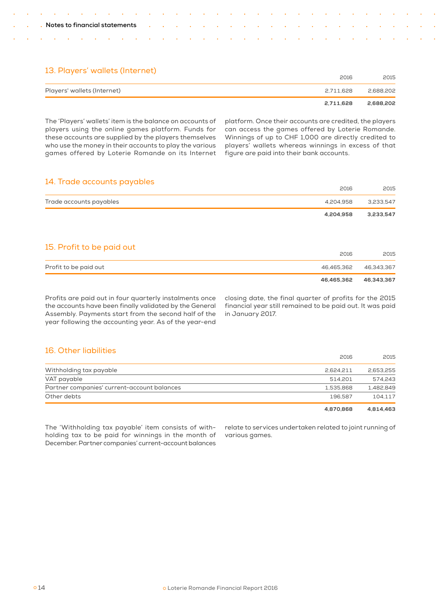|  |  | Notes to financial statements |
|--|--|-------------------------------|
|--|--|-------------------------------|

# 13. Players' wallets (Internet)

|                             | 2016      | 2015      |
|-----------------------------|-----------|-----------|
| Players' wallets (Internet) | 2.711.628 | 2.688.202 |
|                             | 2.711.628 | 2,688,202 |

The 'Players' wallets' item is the balance on accounts of players using the online games platform. Funds for these accounts are supplied by the players themselves who use the money in their accounts to play the various games offered by Loterie Romande on its Internet platform. Once their accounts are credited, the players can access the games offered by Loterie Romande. Winnings of up to CHF 1,000 are directly credited to players' wallets whereas winnings in excess of that figure are paid into their bank accounts.

# 14. Trade accounts payables

|                           | 2016       | 2015       |
|---------------------------|------------|------------|
| Trade accounts payables   | 4,204,958  | 3,233,547  |
|                           | 4,204,958  | 3,233,547  |
|                           |            |            |
| 15. Profit to be paid out |            |            |
|                           | 2016       | 2015       |
| Profit to be paid out     | 46,465,362 | 46,343,367 |
|                           | 46.465.362 | 46.343.367 |

Profits are paid out in four quarterly instalments once the accounts have been finally validated by the General Assembly. Payments start from the second half of the year following the accounting year. As of the year-end

closing date, the final quarter of profits for the 2015 financial year still remained to be paid out. It was paid in January 2017.

# 16. Other liabilities

|                                             | 2016      | 2015      |
|---------------------------------------------|-----------|-----------|
| Withholding tax payable                     | 2.624.211 | 2.653.255 |
| VAT payable                                 | 514.201   | 574.243   |
| Partner companies' current-account balances | 1.535.868 | 1.482.849 |
| Other debts                                 | 196.587   | 104.117   |
|                                             | 4.870.868 | 4.814.463 |

The 'Withholding tax payable' item consists of withholding tax to be paid for winnings in the month of December. Partner companies' current-account balances

relate to services undertaken related to joint running of various games.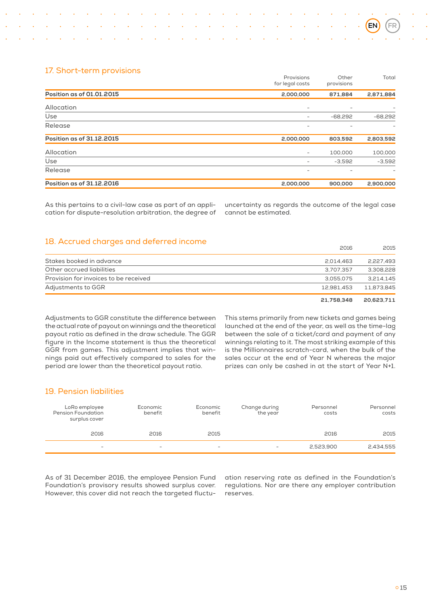# 17. Short-term provisions

|                           | Provisions<br>for legal costs | Other<br>provisions | Total     |
|---------------------------|-------------------------------|---------------------|-----------|
| Position as of 01.01.2015 | 2,000,000                     | 871,884             | 2,871,884 |
| Allocation                | $\overline{\phantom{a}}$      | ۰                   |           |
| Use                       | -                             | $-68,292$           | $-68,292$ |
| Release                   | -                             | -                   |           |
| Position as of 31.12.2015 | 2,000,000                     | 803,592             | 2,803,592 |
| Allocation                | -                             | 100,000             | 100,000   |
| Use                       | -                             | $-3,592$            | $-3,592$  |
| Release                   | -                             |                     |           |
| Position as of 31.12.2016 | 2.000.000                     | 900,000             | 2,900,000 |

As this pertains to a civil-law case as part of an application for dispute-resolution arbitration, the degree of

uncertainty as regards the outcome of the legal case cannot be estimated.

# 18. Accrued charges and deferred income

| Adjustments to GGR                    | 12.981.453 | 11.873.845 |
|---------------------------------------|------------|------------|
| Provision for invoices to be received | 3.055.075  | 3.214.145  |
| Other accrued liabilities             | 3.707.357  | 3.308.228  |
| Stakes booked in advance              | 2.014.463  | 2.227.493  |
|                                       | ____       | ____       |

 **21,758,348 20,623,711** 

2016 2015

Adjustments to GGR constitute the difference between the actual rate of payout on winnings and the theoretical payout ratio as defined in the draw schedule. The GGR figure in the Income statement is thus the theoretical GGR from games. This adjustment implies that winnings paid out effectively compared to sales for the period are lower than the theoretical payout ratio.

This stems primarily from new tickets and games being launched at the end of the year, as well as the time-lag between the sale of a ticket/card and payment of any winnings relating to it. The most striking example of this is the Millionnaires scratch-card, when the bulk of the sales occur at the end of Year N whereas the major prizes can only be cashed in at the start of Year N+1.

# 19. Pension liabilities

| LoRo employee<br>Pension Foundation<br>surplus cover | Economic<br>benefit | Economic<br>benefit      | Change during<br>the year | Personnel<br>costs | Personnel<br>costs |
|------------------------------------------------------|---------------------|--------------------------|---------------------------|--------------------|--------------------|
| 2016                                                 | 2016                | 2015                     |                           | 2016               | 2015               |
| $\sim$                                               | $\sim$              | $\overline{\phantom{a}}$ | $\sim$                    | 2.523.900          | 2,434,555          |

As of 31 December 2016, the employee Pension Fund Foundation's provisory results showed surplus cover. However, this cover did not reach the targeted fluctuation reserving rate as defined in the Foundation's regulations. Nor are there any employer contribution reserves.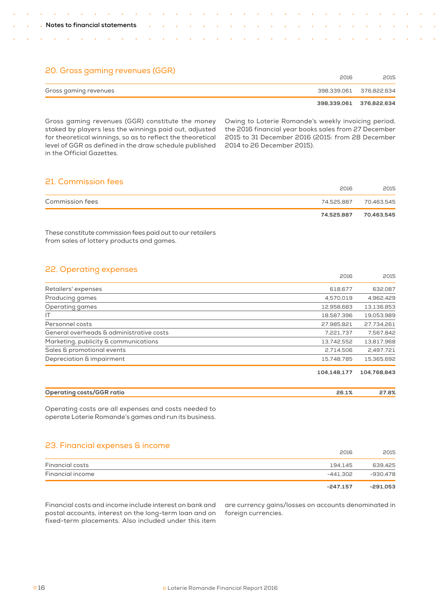# 20. Gross gaming revenues (GGR) 2016 <sup>2015</sup>

|                       | CUID | CUI D                   |
|-----------------------|------|-------------------------|
| Gross gaming revenues |      | 398.339.061 376.822.634 |
|                       |      | 398.339.061 376.822.634 |

Gross gaming revenues (GGR) constitute the money staked by players less the winnings paid out, adjusted for theoretical winnings, so as to reflect the theoretical level of GGR as defined in the draw schedule published in the Official Gazettes.

Owing to Loterie Romande's weekly invoicing period, the 2016 financial year books sales from 27 December 2015 to 31 December 2016 (2015: from 28 December 2014 to 26 December 2015).

2016 2015

# 21. Commission fees

| _________________________ | 2016       | 2015                  |
|---------------------------|------------|-----------------------|
| <b>Commission fees</b>    |            | 74.525.887 70.463.545 |
|                           | 74.525.887 | 70,463,545            |

These constitute commission fees paid out to our retailers from sales of lottery products and games.

# 22. Operating expenses

|                                          | ∟∪⊥∪        | ∟ບ⊥ບ        |
|------------------------------------------|-------------|-------------|
| Retailers' expenses                      | 618,677     | 632,087     |
| Producing games                          | 4,570,019   | 4,962,429   |
| Operating games                          | 12,958,683  | 13,136,853  |
| IT                                       | 18,587,396  | 19,053,989  |
| Personnel costs                          | 27,985,821  | 27,734,261  |
| General overheads & administrative costs | 7,221,737   | 7,567,842   |
| Marketing, publicity & communications    | 13,742,552  | 13,817,968  |
| Sales & promotional events               | 2.714.506   | 2,497,721   |
| Depreciation & impairment                | 15.748.785  | 15,365,692  |
|                                          | 104.148.177 | 104.768.843 |

| Operating costs/GGR ratio |  |
|---------------------------|--|
|                           |  |

Operating costs are all expenses and costs needed to operate Loterie Romande's games and run its business.

# 23. Financial expenses & income

|                  | 2016       | 2015     |
|------------------|------------|----------|
| Financial costs  | 194.145    | 639.425  |
| Financial income | -441.302   | -930.478 |
|                  | $-247.157$ | -291.053 |

Financial costs and income include interest on bank and postal accounts, interest on the long-term loan and on fixed-term placements. Also included under this item

are currency gains/losses on accounts denominated in foreign currencies.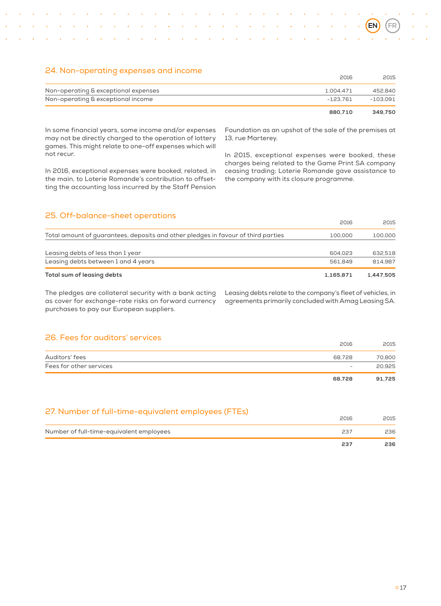# 24. Non-operating expenses and income

|                                      | 2016      | 2015     |
|--------------------------------------|-----------|----------|
| Non-operating & exceptional expenses | 1.004.471 | 452.840  |
| Non-operating & exceptional income   | -123.761  | -103.091 |
|                                      | 880.710   | 349.750  |

In some financial years, some income and/or expenses may not be directly charged to the operation of lottery games. This might relate to one-off expenses which will not recur.

In 2016, exceptional expenses were booked, related, in the main, to Loterie Romande's contribution to offsetting the accounting loss incurred by the Staff Pension Foundation as an upshot of the sale of the premises at 13, rue Marterey.

In 2015, exceptional expenses were booked, these charges being related to the Game Print SA company ceasing trading; Loterie Romande gave assistance to the company with its closure programme.

| 25. Off-balance-sheet operations                                                  | 2016      | 2015      |
|-----------------------------------------------------------------------------------|-----------|-----------|
|                                                                                   |           |           |
| Total amount of guarantees, deposits and other pledges in favour of third parties | 100,000   | 100,000   |
| Leasing debts of less than 1 year                                                 | 604.023   | 632.518   |
| Leasing debts between 1 and 4 years                                               | 561.849   | 814.987   |
| Total sum of leasing debts                                                        | 1.165.871 | 1.447.505 |

The pledges are collateral security with a bank acting as cover for exchange-rate risks on forward currency purchases to pay our European suppliers.

Leasing debts relate to the company's fleet of vehicles, in agreements primarily concluded with Amag Leasing SA.

# 26. Fees for auditors' services

| LU. I CCO IOI GGGILOIO OCI VICCO | 2016                     | 2015   |
|----------------------------------|--------------------------|--------|
| Auditors' fees                   | 68.728                   | 70,800 |
| Fees for other services          | $\overline{\phantom{a}}$ | 20,925 |
|                                  | 68.728                   | 91.725 |

# 27. Number of full-time-equivalent employees (FTEs)

|                                          | 237  | 236  |
|------------------------------------------|------|------|
| Number of full-time-equivalent employees | 53.  | 236  |
|                                          | 2016 | 2015 |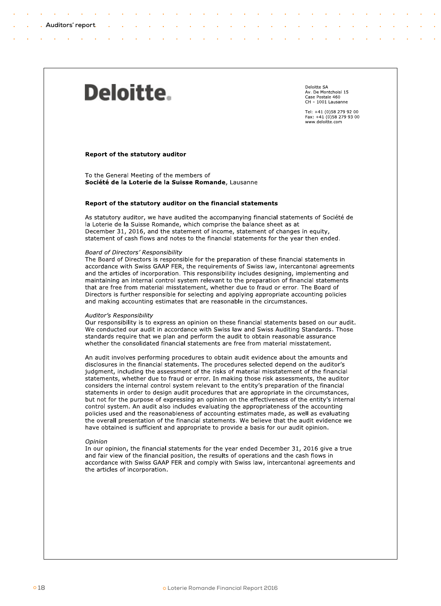# <span id="page-19-0"></span>Deloitte.

Deloitte SA Av. De Montchoisi 15 Case Postale 460 CH - 1001 Lausanne

Tel: +41 (0)58 279 92 00 Fax: +41 (0)58 279 93 00<br>www.deloitte.com

#### Report of the statutory auditor

To the General Meeting of the members of Société de la Loterie de la Suisse Romande, Lausanne

#### Report of the statutory auditor on the financial statements

As statutory auditor, we have audited the accompanying financial statements of Société de la Loterie de la Suisse Romande, which comprise the balance sheet as at December 31, 2016, and the statement of income, statement of changes in equity, statement of cash flows and notes to the financial statements for the year then ended.

#### Board of Directors' Responsibility

The Board of Directors is responsible for the preparation of these financial statements in accordance with Swiss GAAP FER, the requirements of Swiss law, intercantonal agreements and the articles of incorporation. This responsibility includes designing, implementing and maintaining an internal control system relevant to the preparation of financial statements that are free from material misstatement, whether due to fraud or error. The Board of Directors is further responsible for selecting and applying appropriate accounting policies and making accounting estimates that are reasonable in the circumstances.

#### Auditor's Responsibility

Our responsibility is to express an opinion on these financial statements based on our audit. We conducted our audit in accordance with Swiss law and Swiss Auditing Standards. Those standards require that we plan and perform the audit to obtain reasonable assurance whether the consolidated financial statements are free from material misstatement.

An audit involves performing procedures to obtain audit evidence about the amounts and disclosures in the financial statements. The procedures selected depend on the auditor's judgment, including the assessment of the risks of material misstatement of the financial statements, whether due to fraud or error. In making those risk assessments, the auditor considers the internal control system relevant to the entity's preparation of the financial statements in order to design audit procedures that are appropriate in the circumstances, but not for the purpose of expressing an opinion on the effectiveness of the entity's internal control system. An audit also includes evaluating the appropriateness of the accounting policies used and the reasonableness of accounting estimates made, as well as evaluating the overall presentation of the financial statements. We believe that the audit evidence we have obtained is sufficient and appropriate to provide a basis for our audit opinion.

#### Opinion

In our opinion, the financial statements for the year ended December 31, 2016 give a true and fair view of the financial position, the results of operations and the cash flows in accordance with Swiss GAAP FER and comply with Swiss law, intercantonal agreements and the articles of incorporation.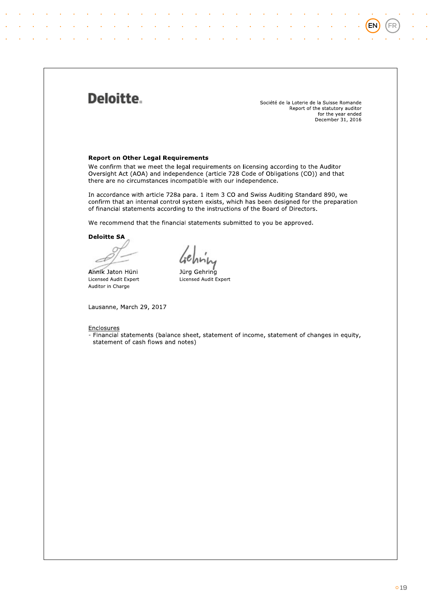# Deloitte.

Société de la Loterie de la Suisse Romande Report of the statutory auditor for the year ended<br>December 31, 2016 (EN

FR

# **Report on Other Legal Requirements**

We confirm that we meet the legal requirements on licensing according to the Auditor Oversight Act (AOA) and independence (article 728 Code of Obligations (CO)) and that there are no circumstances incompatible with our independence.

In accordance with article 728a para. 1 item 3 CO and Swiss Auditing Standard 890, we confirm that an internal control system exists, which has been designed for the preparation of financial statements according to the instructions of the Board of Directors.

We recommend that the financial statements submitted to you be approved.

**Deloitte SA** 

Annik Jaton Hüni Licensed Audit Expert Auditor in Charge

Jürg Gehring Licensed Audit Expert

Lausanne, March 29, 2017

# Enclosures

- Financial statements (balance sheet, statement of income, statement of changes in equity, statement of cash flows and notes)